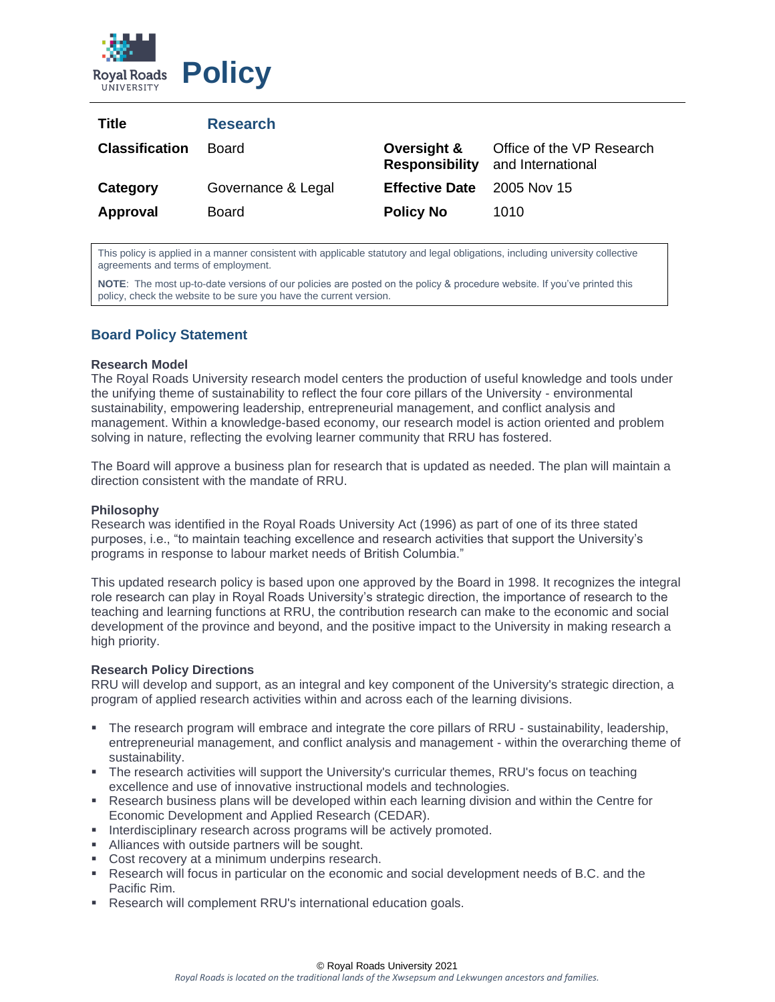

| Title                 | <b>Research</b>    |                                      |                                                |
|-----------------------|--------------------|--------------------------------------|------------------------------------------------|
| <b>Classification</b> | Board              | Oversight &<br><b>Responsibility</b> | Office of the VP Research<br>and International |
| Category              | Governance & Legal | <b>Effective Date</b>                | 2005 Nov 15                                    |
| Approval              | Board              | <b>Policy No</b>                     | 1010                                           |

This policy is applied in a manner consistent with applicable statutory and legal obligations, including university collective agreements and terms of employment.

**NOTE**: The most up-to-date versions of our policies are posted on the policy & procedure website. If you've printed this policy, check the website to be sure you have the current version.

# **Board Policy Statement**

### **Research Model**

The Royal Roads University research model centers the production of useful knowledge and tools under the unifying theme of sustainability to reflect the four core pillars of the University - environmental sustainability, empowering leadership, entrepreneurial management, and conflict analysis and management. Within a knowledge-based economy, our research model is action oriented and problem solving in nature, reflecting the evolving learner community that RRU has fostered.

The Board will approve a business plan for research that is updated as needed. The plan will maintain a direction consistent with the mandate of RRU.

### **Philosophy**

Research was identified in the Royal Roads University Act (1996) as part of one of its three stated purposes, i.e., "to maintain teaching excellence and research activities that support the University's programs in response to labour market needs of British Columbia."

This updated research policy is based upon one approved by the Board in 1998. It recognizes the integral role research can play in Royal Roads University's strategic direction, the importance of research to the teaching and learning functions at RRU, the contribution research can make to the economic and social development of the province and beyond, and the positive impact to the University in making research a high priority.

#### **Research Policy Directions**

RRU will develop and support, as an integral and key component of the University's strategic direction, a program of applied research activities within and across each of the learning divisions.

- The research program will embrace and integrate the core pillars of RRU sustainability, leadership, entrepreneurial management, and conflict analysis and management - within the overarching theme of sustainability.
- The research activities will support the University's curricular themes, RRU's focus on teaching excellence and use of innovative instructional models and technologies.
- Research business plans will be developed within each learning division and within the Centre for Economic Development and Applied Research (CEDAR).
- **EXECT** Interdisciplinary research across programs will be actively promoted.
- Alliances with outside partners will be sought.
- Cost recovery at a minimum underpins research.
- Research will focus in particular on the economic and social development needs of B.C. and the Pacific Rim.
- Research will complement RRU's international education goals.

#### © Royal Roads University 2021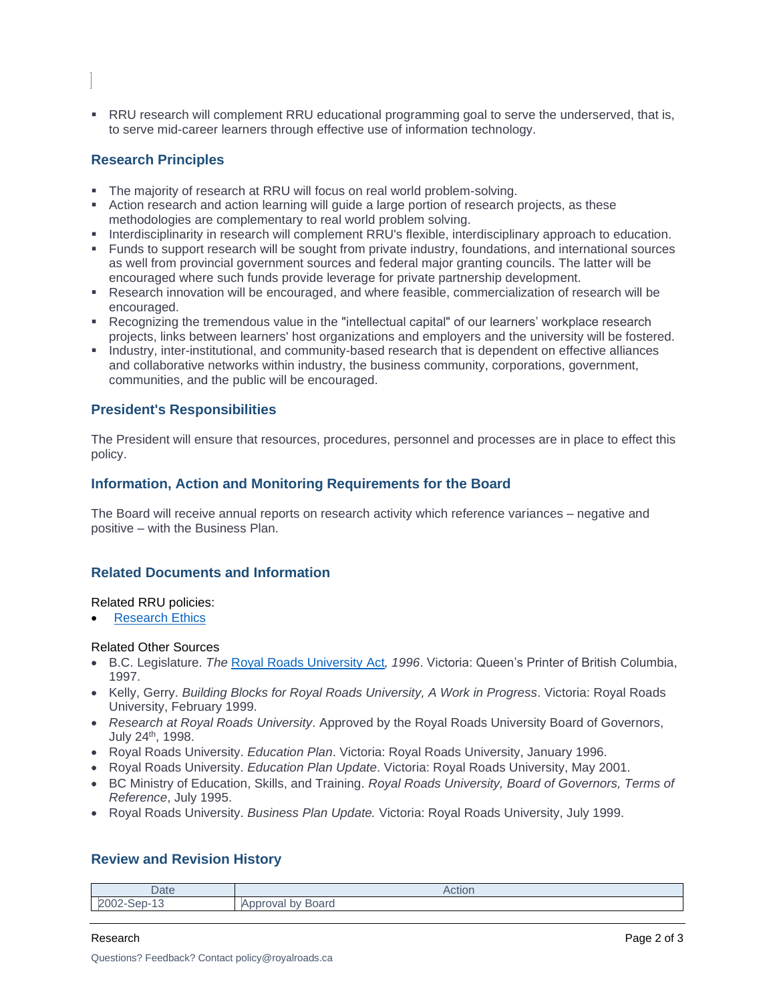■ RRU research will complement RRU educational programming goal to serve the underserved, that is, to serve mid-career learners through effective use of information technology.

# **Research Principles**

- **•** The majority of research at RRU will focus on real world problem-solving.
- Action research and action learning will guide a large portion of research projects, as these methodologies are complementary to real world problem solving.
- **•** Interdisciplinarity in research will complement RRU's flexible, interdisciplinary approach to education.
- Funds to support research will be sought from private industry, foundations, and international sources as well from provincial government sources and federal major granting councils. The latter will be encouraged where such funds provide leverage for private partnership development.
- Research innovation will be encouraged, and where feasible, commercialization of research will be encouraged.
- Recognizing the tremendous value in the "intellectual capital" of our learners' workplace research projects, links between learners' host organizations and employers and the university will be fostered.
- Industry, inter-institutional, and community-based research that is dependent on effective alliances and collaborative networks within industry, the business community, corporations, government, communities, and the public will be encouraged.

# **President's Responsibilities**

The President will ensure that resources, procedures, personnel and processes are in place to effect this policy.

## **Information, Action and Monitoring Requirements for the Board**

The Board will receive annual reports on research activity which reference variances – negative and positive – with the Business Plan.

## **Related Documents and Information**

#### Related RRU policies:

**[Research Ethics](https://www.royalroads.ca/policy/research-ethics)** 

### Related Other Sources

- B.C. Legislature. *The* Royal Roads [University](https://www.bclaws.gov.bc.ca/civix/document/id/complete/statreg/96409_01) Act*, 1996*. Victoria: Queen's Printer of British Columbia, 1997.
- Kelly, Gerry. *Building Blocks for Royal Roads University, A Work in Progress*. Victoria: Royal Roads University, February 1999.
- *Research at Royal Roads University*. Approved by the Royal Roads University Board of Governors, July 24th, 1998.
- Royal Roads University. *Education Plan*. Victoria: Royal Roads University, January 1996.
- Royal Roads University. *Education Plan Update*. Victoria: Royal Roads University, May 2001.
- BC Ministry of Education, Skills, and Training. *Royal Roads University, Board of Governors, Terms of Reference*, July 1995.
- Royal Roads University. *Business Plan Update.* Victoria: Royal Roads University, July 1999.

## **Review and Revision History**

| Date                                          | Action                                                                                        |
|-----------------------------------------------|-----------------------------------------------------------------------------------------------|
| 2002<br>$\sim$<br>$SED-7$<br>. .<br>∪ו<br>$-$ | Board<br>$r$ <sup><math>\alpha</math></sup> $\alpha$<br>hv<br>ADDIO<br><b>A</b><br>v u i<br>~ |